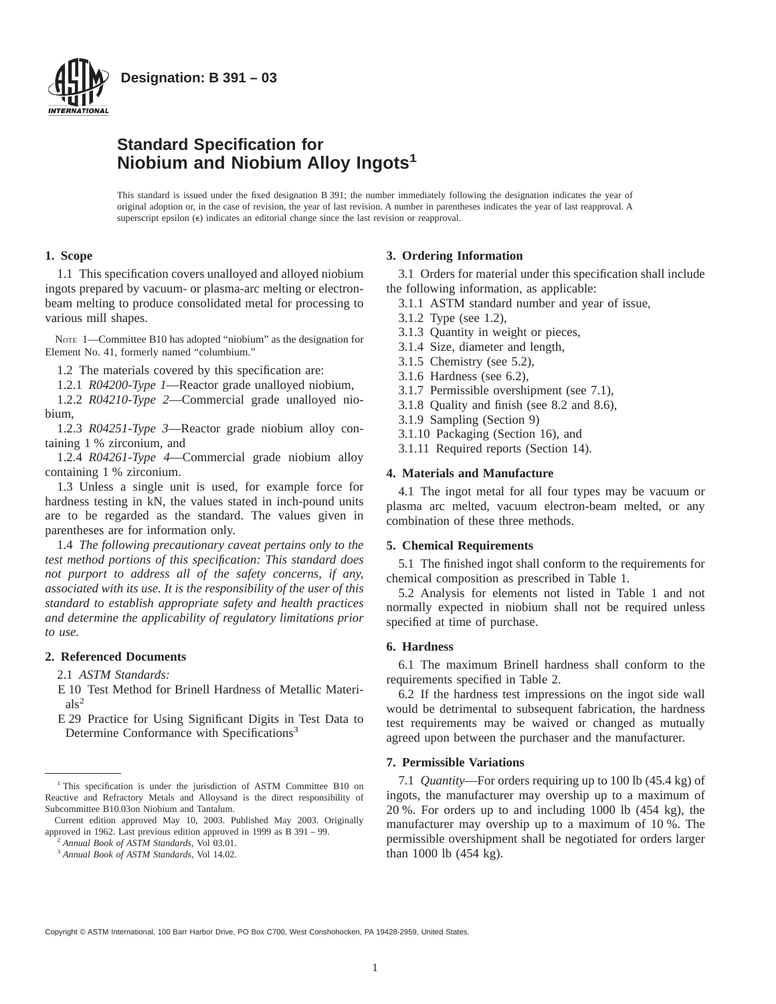

# **Standard Specification for Niobium and Niobium Alloy Ingots<sup>1</sup>**

This standard is issued under the fixed designation B 391; the number immediately following the designation indicates the year of original adoption or, in the case of revision, the year of last revision. A number in parentheses indicates the year of last reapproval. A superscript epsilon  $(\epsilon)$  indicates an editorial change since the last revision or reapproval.

# **1. Scope**

1.1 This specification covers unalloyed and alloyed niobium ingots prepared by vacuum- or plasma-arc melting or electronbeam melting to produce consolidated metal for processing to various mill shapes.

NOTE 1—Committee B10 has adopted "niobium" as the designation for Element No. 41, formerly named "columbium."

1.2 The materials covered by this specification are:

1.2.1 *R04200-Type 1*—Reactor grade unalloyed niobium,

1.2.2 *R04210-Type 2*—Commercial grade unalloyed niobium,

1.2.3 *R04251-Type 3*—Reactor grade niobium alloy containing 1 % zirconium, and

1.2.4 *R04261-Type 4*—Commercial grade niobium alloy containing 1 % zirconium.

1.3 Unless a single unit is used, for example force for hardness testing in kN, the values stated in inch-pound units are to be regarded as the standard. The values given in parentheses are for information only.

1.4 *The following precautionary caveat pertains only to the test method portions of this specification: This standard does not purport to address all of the safety concerns, if any, associated with its use. It is the responsibility of the user of this standard to establish appropriate safety and health practices and determine the applicability of regulatory limitations prior to use.*

## **2. Referenced Documents**

2.1 *ASTM Standards:*

E 10 Test Method for Brinell Hardness of Metallic Materials<sup>2</sup>

E 29 Practice for Using Significant Digits in Test Data to Determine Conformance with Specifications<sup>3</sup>

# **3. Ordering Information**

3.1 Orders for material under this specification shall include the following information, as applicable:

- 3.1.1 ASTM standard number and year of issue,
- 3.1.2 Type (see 1.2),
- 3.1.3 Quantity in weight or pieces,
- 3.1.4 Size, diameter and length,
- 3.1.5 Chemistry (see 5.2),
- 3.1.6 Hardness (see 6.2),
- 3.1.7 Permissible overshipment (see 7.1),
- 3.1.8 Quality and finish (see 8.2 and 8.6),
- 3.1.9 Sampling (Section 9)
- 3.1.10 Packaging (Section 16), and
- 3.1.11 Required reports (Section 14).

# **4. Materials and Manufacture**

4.1 The ingot metal for all four types may be vacuum or plasma arc melted, vacuum electron-beam melted, or any combination of these three methods.

## **5. Chemical Requirements**

5.1 The finished ingot shall conform to the requirements for chemical composition as prescribed in Table 1.

5.2 Analysis for elements not listed in Table 1 and not normally expected in niobium shall not be required unless specified at time of purchase.

# **6. Hardness**

6.1 The maximum Brinell hardness shall conform to the requirements specified in Table 2.

6.2 If the hardness test impressions on the ingot side wall would be detrimental to subsequent fabrication, the hardness test requirements may be waived or changed as mutually agreed upon between the purchaser and the manufacturer.

# **7. Permissible Variations**

7.1 *Quantity*—For orders requiring up to 100 lb (45.4 kg) of ingots, the manufacturer may overship up to a maximum of 20 %. For orders up to and including 1000 lb (454 kg), the manufacturer may overship up to a maximum of 10 %. The permissible overshipment shall be negotiated for orders larger than 1000 lb (454 kg).

Copyright © ASTM International, 100 Barr Harbor Drive, PO Box C700, West Conshohocken, PA 19428-2959, United States.

<sup>&</sup>lt;sup>1</sup> This specification is under the jurisdiction of ASTM Committee B10 on Reactive and Refractory Metals and Alloysand is the direct responsibility of Subcommittee B10.03on Niobium and Tantalum.

Current edition approved May 10, 2003. Published May 2003. Originally approved in 1962. Last previous edition approved in 1999 as B 391 – 99.

<sup>2</sup> *Annual Book of ASTM Standards,* Vol 03.01.

<sup>3</sup> *Annual Book of ASTM Standards,* Vol 14.02.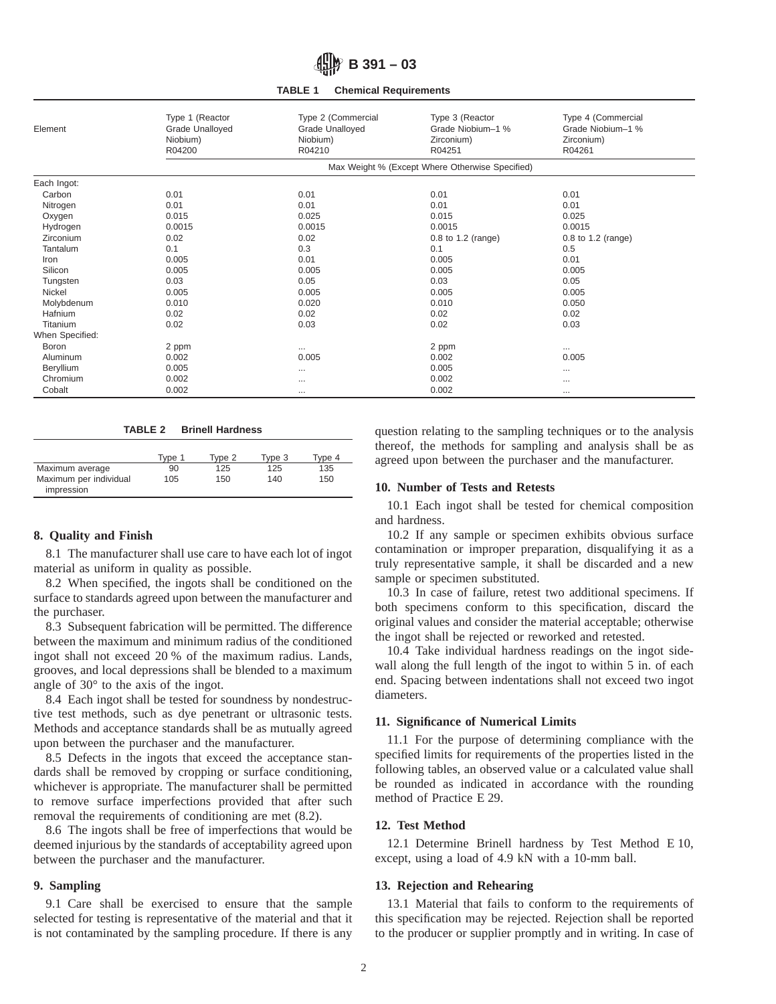**TABLE 1 Chemical Requirements**

| Element         | Type 1 (Reactor<br>Grade Unalloyed<br>Niobium)<br>R04200 | Type 2 (Commercial<br>Grade Unalloyed<br>Niobium)<br>R04210 | Type 3 (Reactor<br>Grade Niobium-1 %<br>Zirconium)<br>R04251 | Type 4 (Commercial<br>Grade Niobium-1 %<br>Zirconium)<br>R04261 |  |  |
|-----------------|----------------------------------------------------------|-------------------------------------------------------------|--------------------------------------------------------------|-----------------------------------------------------------------|--|--|
|                 | Max Weight % (Except Where Otherwise Specified)          |                                                             |                                                              |                                                                 |  |  |
| Each Ingot:     |                                                          |                                                             |                                                              |                                                                 |  |  |
| Carbon          | 0.01                                                     | 0.01                                                        | 0.01                                                         | 0.01                                                            |  |  |
| Nitrogen        | 0.01                                                     | 0.01                                                        | 0.01                                                         | 0.01                                                            |  |  |
| Oxygen          | 0.015                                                    | 0.025                                                       | 0.015                                                        | 0.025                                                           |  |  |
| Hydrogen        | 0.0015                                                   | 0.0015                                                      | 0.0015                                                       | 0.0015                                                          |  |  |
| Zirconium       | 0.02                                                     | 0.02                                                        | 0.8 to 1.2 (range)                                           | 0.8 to 1.2 (range)                                              |  |  |
| Tantalum        | 0.1                                                      | 0.3                                                         | 0.1                                                          | 0.5                                                             |  |  |
| Iron            | 0.005                                                    | 0.01                                                        | 0.005                                                        | 0.01                                                            |  |  |
| Silicon         | 0.005                                                    | 0.005                                                       | 0.005                                                        | 0.005                                                           |  |  |
| Tungsten        | 0.03                                                     | 0.05                                                        | 0.03                                                         | 0.05                                                            |  |  |
| Nickel          | 0.005                                                    | 0.005                                                       | 0.005                                                        | 0.005                                                           |  |  |
| Molybdenum      | 0.010                                                    | 0.020                                                       | 0.010                                                        | 0.050                                                           |  |  |
| Hafnium         | 0.02                                                     | 0.02                                                        | 0.02                                                         | 0.02                                                            |  |  |
| Titanium        | 0.02                                                     | 0.03                                                        | 0.02                                                         | 0.03                                                            |  |  |
| When Specified: |                                                          |                                                             |                                                              |                                                                 |  |  |
| Boron           | 2 ppm                                                    | $\cdots$                                                    | 2 ppm                                                        | $\cdots$                                                        |  |  |
| Aluminum        | 0.002                                                    | 0.005                                                       | 0.002                                                        | 0.005                                                           |  |  |
| Beryllium       | 0.005                                                    |                                                             | 0.005                                                        | $\cdots$                                                        |  |  |
| Chromium        | 0.002                                                    | $\cdots$                                                    | 0.002                                                        | $\cdots$                                                        |  |  |
| Cobalt          | 0.002                                                    | $\cdots$                                                    | 0.002                                                        | $\cdots$                                                        |  |  |

**TABLE 2 Brinell Hardness**

|                                      | Tvpe 1 | Tvpe 2 | Tvpe 3 | Tvpe 4 |
|--------------------------------------|--------|--------|--------|--------|
| Maximum average                      | 90     | 125    | 125    | 135    |
| Maximum per individual<br>impression | 105    | 150    | 140    | 150    |

# **8. Quality and Finish**

8.1 The manufacturer shall use care to have each lot of ingot material as uniform in quality as possible.

8.2 When specified, the ingots shall be conditioned on the surface to standards agreed upon between the manufacturer and the purchaser.

8.3 Subsequent fabrication will be permitted. The difference between the maximum and minimum radius of the conditioned ingot shall not exceed 20 % of the maximum radius. Lands, grooves, and local depressions shall be blended to a maximum angle of 30° to the axis of the ingot.

8.4 Each ingot shall be tested for soundness by nondestructive test methods, such as dye penetrant or ultrasonic tests. Methods and acceptance standards shall be as mutually agreed upon between the purchaser and the manufacturer.

8.5 Defects in the ingots that exceed the acceptance standards shall be removed by cropping or surface conditioning, whichever is appropriate. The manufacturer shall be permitted to remove surface imperfections provided that after such removal the requirements of conditioning are met (8.2).

8.6 The ingots shall be free of imperfections that would be deemed injurious by the standards of acceptability agreed upon between the purchaser and the manufacturer.

# **9. Sampling**

9.1 Care shall be exercised to ensure that the sample selected for testing is representative of the material and that it is not contaminated by the sampling procedure. If there is any question relating to the sampling techniques or to the analysis thereof, the methods for sampling and analysis shall be as agreed upon between the purchaser and the manufacturer.

## **10. Number of Tests and Retests**

10.1 Each ingot shall be tested for chemical composition and hardness.

10.2 If any sample or specimen exhibits obvious surface contamination or improper preparation, disqualifying it as a truly representative sample, it shall be discarded and a new sample or specimen substituted.

10.3 In case of failure, retest two additional specimens. If both specimens conform to this specification, discard the original values and consider the material acceptable; otherwise the ingot shall be rejected or reworked and retested.

10.4 Take individual hardness readings on the ingot sidewall along the full length of the ingot to within 5 in. of each end. Spacing between indentations shall not exceed two ingot diameters.

#### **11. Significance of Numerical Limits**

11.1 For the purpose of determining compliance with the specified limits for requirements of the properties listed in the following tables, an observed value or a calculated value shall be rounded as indicated in accordance with the rounding method of Practice E 29.

## **12. Test Method**

12.1 Determine Brinell hardness by Test Method E 10, except, using a load of 4.9 kN with a 10-mm ball.

# **13. Rejection and Rehearing**

13.1 Material that fails to conform to the requirements of this specification may be rejected. Rejection shall be reported to the producer or supplier promptly and in writing. In case of